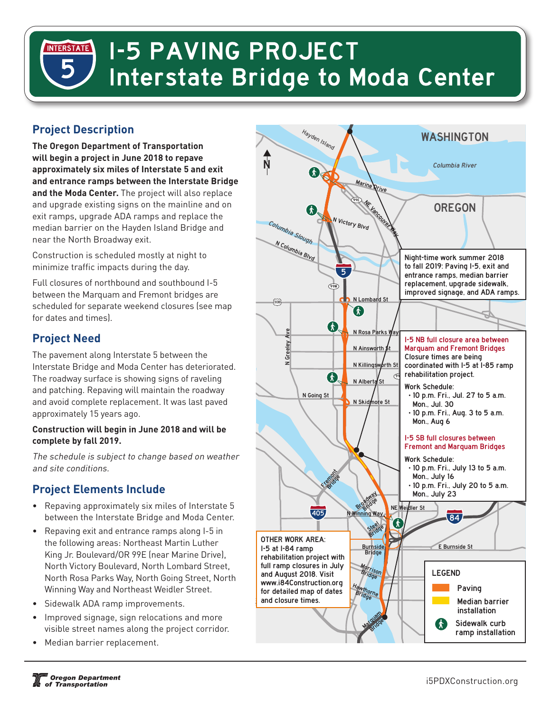# **1-5 PAVING PROJECT INTERSTATE Interstate Bridge to Moda Center**

# **Project Description**

**The Oregon Department of Transportation will begin a project in June 2018 to repave**  Smith Lake **approximately six miles of Interstate 5 and exit and entrance ramps between the Interstate Bridge**  120 **and the Moda Center.** The project will also replace and upgrade existing signs on the mainline and on exit ramps, upgrade ADA ramps and replace the median barrier on the Hayden Island Bridge and near the North Broadway exit.

Construction is scheduled mostly at night to minimize traffic impacts during the day.

Full closures of northbound and southbound I-5 between the Marquam and Fremont bridges are scheduled for separate weekend closures (see map for dates and times).

#### **Project Need**

The pavement along Interstate 5 between the Interstate Bridge and Moda Center has deteriorated. The roadway surface is showing signs of raveling and patching. Repaving will maintain the roadway and avoid complete replacement. It was last paved approximately 15 years ago.

#### **Construction will begin in June 2018 and will be**  30 **complete by fall 2019.**

The schedule is subject to change based on weather and site conditions.

### **Project Elements Include**

- Repaving approximately six miles of Interstate 5 between the Interstate Bridge and Moda Center.
- Repaving exit and entrance ramps along I-5 in the following areas: Northeast Martin Luther King Jr. Boulevard/OR 99E (near Marine Drive), North Victory Boulevard, North Lombard Street, North Rosa Parks Way, North Going Street, North Winning Way and Northeast Weidler Street.
- Sidewalk ADA ramp improvements.
- Improved signage, sign relocations and more visible street names along the project corridor.
- Median barrier replacement.